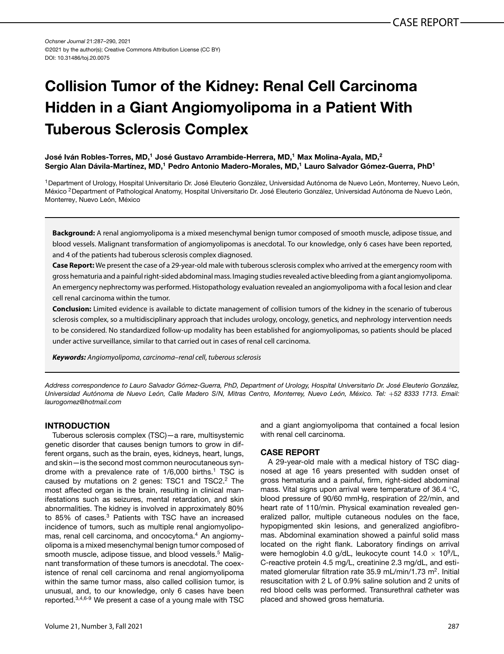*Ochsner Journal* 21:287–290, 2021 ©2021 by the author(s); Creative Commons Attribution License (CC BY) DOI: 10.31486/toj.20.0075

# **Collision Tumor of the Kidney: Renal Cell Carcinoma Hidden in a Giant Angiomyolipoma in a Patient With Tuberous Sclerosis Complex**

**José Iván Robles-Torres, MD,1 José Gustavo Arrambide-Herrera, MD,1 Max Molina-Ayala, MD,2 Sergio Alan Dávila-Martínez, MD,1 Pedro Antonio Madero-Morales, MD,1 Lauro Salvador Gómez-Guerra, PhD1**

1Department of Urology, Hospital Universitario Dr. José Eleuterio González, Universidad Autónoma de Nuevo León, Monterrey, Nuevo León, México <sup>2</sup> Department of Pathological Anatomy, Hospital Universitario Dr. José Eleuterio González, Universidad Autónoma de Nuevo León, Monterrey, Nuevo León, México

**Background:** A renal angiomyolipoma is a mixed mesenchymal benign tumor composed of smooth muscle, adipose tissue, and blood vessels. Malignant transformation of angiomyolipomas is anecdotal. To our knowledge, only 6 cases have been reported, and 4 of the patients had tuberous sclerosis complex diagnosed.

**Case Report:** We present the case of a 29-year-old male with tuberous sclerosis complex who arrived at the emergency room with gross hematuria and a painful right-sided abdominal mass. Imaging studies revealed active bleedingfrom a giant angiomyolipoma. An emergency nephrectomy was performed. Histopathology evaluation revealed an angiomyolipoma with a focal lesion and clear cell renal carcinoma within the tumor.

**Conclusion:** Limited evidence is available to dictate management of collision tumors of the kidney in the scenario of tuberous sclerosis complex, so a multidisciplinary approach that includes urology, oncology, genetics, and nephrology intervention needs to be considered. No standardized follow-up modality has been established for angiomyolipomas, so patients should be placed under active surveillance, similar to that carried out in cases of renal cell carcinoma.

*Keywords: Angiomyolipoma*, *carcinoma–renal cell*, *tuberous sclerosis*

*Address correspondence to Lauro Salvador Gómez-Guerra, PhD, Department of Urology, Hospital Universitario Dr. José Eleuterio González, Universidad Autónoma de Nuevo León, Calle Madero S/N, Mitras Centro, Monterrey, Nuevo León, México. Tel:* +*52 8333 1713. Email: [laurogomez@hotmail.com](mailto:laurogomez@hotmail.com)*

### **INTRODUCTION**

Tuberous sclerosis complex (TSC)—a rare, multisystemic genetic disorder that causes benign tumors to grow in different organs, such as the brain, eyes, kidneys, heart, lungs, and skin—is the second most common neurocutaneous syndrome with a prevalence rate of  $1/6,000$  births.<sup>1</sup> TSC is caused by mutations on 2 genes: TSC1 and TSC2.<sup>2</sup> The most affected organ is the brain, resulting in clinical manifestations such as seizures, mental retardation, and skin abnormalities. The kidney is involved in approximately 80% to 85% of cases[.3](#page-3-0) Patients with TSC have an increased incidence of tumors, such as multiple renal angiomyolipo-mas, renal cell carcinoma, and oncocytoma.<sup>[4](#page-3-0)</sup> An angiomyolipoma is a mixed mesenchymal benign tumor composed of smooth muscle, adipose tissue, and blood vessels.<sup>5</sup> Malignant transformation of these tumors is anecdotal. The coexistence of renal cell carcinoma and renal angiomyolipoma within the same tumor mass, also called collision tumor, is unusual, and, to our knowledge, only 6 cases have been reported[.3,4,6-9](#page-3-0) We present a case of a young male with TSC

and a giant angiomyolipoma that contained a focal lesion with renal cell carcinoma.

#### **CASE REPORT**

A 29-year-old male with a medical history of TSC diagnosed at age 16 years presented with sudden onset of gross hematuria and a painful, firm, right-sided abdominal mass. Vital signs upon arrival were temperature of 36.4 °C, blood pressure of 90/60 mmHg, respiration of 22/min, and heart rate of 110/min. Physical examination revealed generalized pallor, multiple cutaneous nodules on the face, hypopigmented skin lesions, and generalized angiofibromas. Abdominal examination showed a painful solid mass located on the right flank. Laboratory findings on arrival were hemoglobin 4.0 g/dL, leukocyte count  $14.0 \times 10^9$ /L, C-reactive protein 4.5 mg/L, creatinine 2.3 mg/dL, and estimated glomerular filtration rate 35.9 mL/min/1.73 m<sup>2</sup>. Initial resuscitation with 2 L of 0.9% saline solution and 2 units of red blood cells was performed. Transurethral catheter was placed and showed gross hematuria.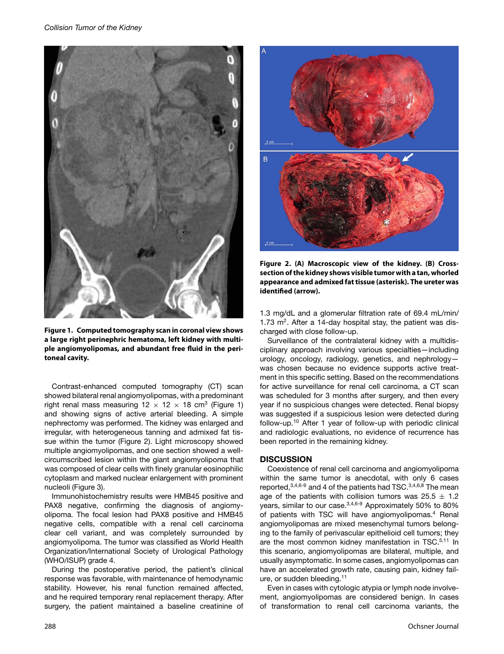

**Figure 1. Computed tomography scan in coronal view shows a large right perinephric hematoma, left kidney with multiple angiomyolipomas, and abundant free fluid in the peritoneal cavity.**

Contrast-enhanced computed tomography (CT) scan showed bilateral renal angiomyolipomas, with a predominant right renal mass measuring  $12 \times 12 \times 18$  cm<sup>3</sup> (Figure 1) and showing signs of active arterial bleeding. A simple nephrectomy was performed. The kidney was enlarged and irregular, with heterogeneous tanning and admixed fat tissue within the tumor (Figure 2). Light microscopy showed multiple angiomyolipomas, and one section showed a wellcircumscribed lesion within the giant angiomyolipoma that was composed of clear cells with finely granular eosinophilic cytoplasm and marked nuclear enlargement with prominent nucleoli (Figure [3\)](#page-2-0).

Immunohistochemistry results were HMB45 positive and PAX8 negative, confirming the diagnosis of angiomyolipoma. The focal lesion had PAX8 positive and HMB45 negative cells, compatible with a renal cell carcinoma clear cell variant, and was completely surrounded by angiomyolipoma. The tumor was classified as World Health Organization/International Society of Urological Pathology (WHO/ISUP) grade 4.

During the postoperative period, the patient's clinical response was favorable, with maintenance of hemodynamic stability. However, his renal function remained affected, and he required temporary renal replacement therapy. After surgery, the patient maintained a baseline creatinine of



**Figure 2. (A) Macroscopic view of the kidney. (B) Crosssection of the kidney shows visible tumor with a tan, whorled appearance and admixed fat tissue (asterisk). The ureter was identified (arrow).**

1.3 mg/dL and a glomerular filtration rate of 69.4 mL/min/ 1.73  $m<sup>2</sup>$ . After a 14-day hospital stay, the patient was discharged with close follow-up.

Surveillance of the contralateral kidney with a multidisciplinary approach involving various specialties—including urology, oncology, radiology, genetics, and nephrology was chosen because no evidence supports active treatment in this specific setting. Based on the recommendations for active surveillance for renal cell carcinoma, a CT scan was scheduled for 3 months after surgery, and then every year if no suspicious changes were detected. Renal biopsy was suggested if a suspicious lesion were detected during follow-up[.10](#page-3-0) After 1 year of follow-up with periodic clinical and radiologic evaluations, no evidence of recurrence has been reported in the remaining kidney.

#### **DISCUSSION**

Coexistence of renal cell carcinoma and angiomyolipoma within the same tumor is anecdotal, with only 6 cases reported,  $3,4,6-9$  and 4 of the patients had TSC.  $3,4,6,8$  The mean age of the patients with collision tumors was  $25.5 \pm 1.2$ years, similar to our case[.3,4,6-9](#page-3-0) Approximately 50% to 80% of patients with TSC will have angiomyolipomas.<sup>[4](#page-3-0)</sup> Renal angiomyolipomas are mixed mesenchymal tumors belonging to the family of perivascular epithelioid cell tumors; they are the most common kidney manifestation in TSC.<sup>5,11</sup> In this scenario, angiomyolipomas are bilateral, multiple, and usually asymptomatic. In some cases, angiomyolipomas can have an accelerated growth rate, causing pain, kidney failure, or sudden bleeding.<sup>11</sup>

Even in cases with cytologic atypia or lymph node involvement, angiomyolipomas are considered benign. In cases of transformation to renal cell carcinoma variants, the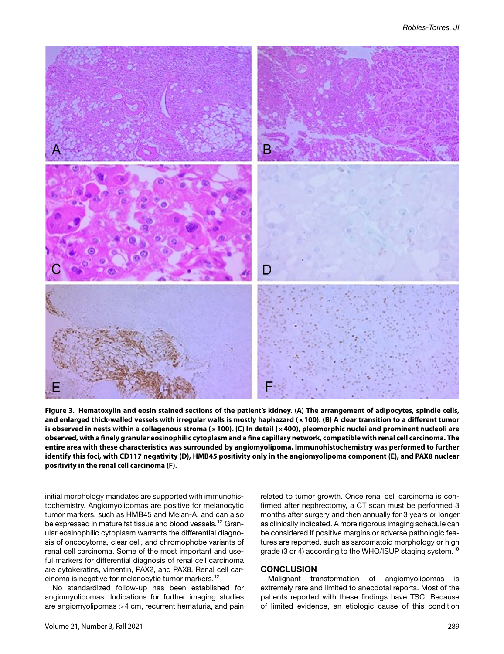<span id="page-2-0"></span>

**Figure 3. Hematoxylin and eosin stained sections of the patient's kidney. (A) The arrangement of adipocytes, spindle cells, and enlarged thick-walled vessels with irregular walls is mostly haphazard (×100). (B) A clear transition to a different tumor is observed in nests within a collagenous stroma (×100). (C) In detail (×400), pleomorphic nuclei and prominent nucleoli are observed, with a finely granular eosinophilic cytoplasm and a fine capillary network, compatible with renal cell carcinoma. The entire area with these characteristics was surrounded by angiomyolipoma. Immunohistochemistry was performed to further identify this foci, with CD117 negativity (D), HMB45 positivity only in the angiomyolipoma component (E), and PAX8 nuclear positivity in the renal cell carcinoma (F).**

initial morphology mandates are supported with immunohistochemistry. Angiomyolipomas are positive for melanocytic tumor markers, such as HMB45 and Melan-A, and can also be expressed in mature fat tissue and blood vessels.<sup>12</sup> Granular eosinophilic cytoplasm warrants the differential diagnosis of oncocytoma, clear cell, and chromophobe variants of renal cell carcinoma. Some of the most important and useful markers for differential diagnosis of renal cell carcinoma are cytokeratins, vimentin, PAX2, and PAX8. Renal cell carcinoma is negative for melanocytic tumor markers.[12](#page-3-0)

No standardized follow-up has been established for angiomyolipomas. Indications for further imaging studies are angiomyolipomas >4 cm, recurrent hematuria, and pain related to tumor growth. Once renal cell carcinoma is confirmed after nephrectomy, a CT scan must be performed 3 months after surgery and then annually for 3 years or longer as clinically indicated. A more rigorous imaging schedule can be considered if positive margins or adverse pathologic features are reported, such as sarcomatoid morphology or high grade (3 or 4) according to the WHO/ISUP staging system.<sup>[10](#page-3-0)</sup>

#### **CONCLUSION**

Malignant transformation of angiomyolipomas is extremely rare and limited to anecdotal reports. Most of the patients reported with these findings have TSC. Because of limited evidence, an etiologic cause of this condition